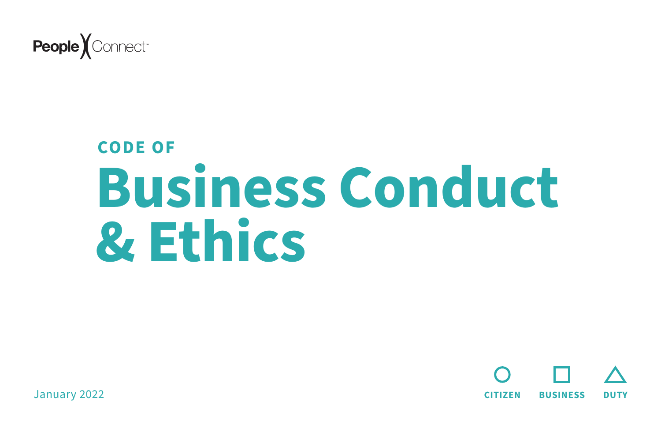





# **Business Conduct & Ethics CODE OF**

January 2022

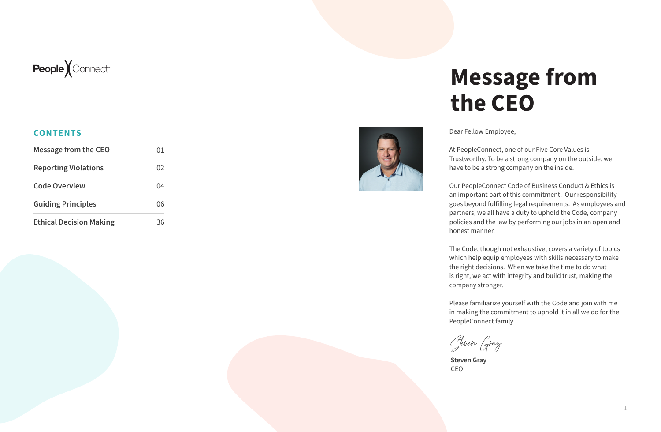### **Message from the CEO**

Dear Fellow Employee,

At PeopleConnect, one of our Five Core Values is Trustworthy. To be a strong company on the outside, we have to be a strong company on the inside.

Our PeopleConnect Code of Business Conduct & Ethics is an important part of this commitment. Our responsibility goes beyond fulfilling legal requirements. As employees and partners, we all have a duty to uphold the Code, company policies and the law by performing our jobs in an open and honest manner.

The Code, though not exhaustive, covers a variety of topics which help equip employees with skills necessary to make the right decisions. When we take the time to do what is right, we act with integrity and build trust, making the company stronger.

Please familiarize yourself with the Code and join with me in making the commitment to uphold it in all we do for the PeopleConnect family.

Steven Gray

**Steven Gray** CEO

| <b>Message from the CEO</b>    |    |
|--------------------------------|----|
| <b>Reporting Violations</b>    | () |
| <b>Code Overview</b>           |    |
| <b>Guiding Principles</b>      | በሬ |
| <b>Ethical Decision Making</b> |    |





#### **CONTENTS**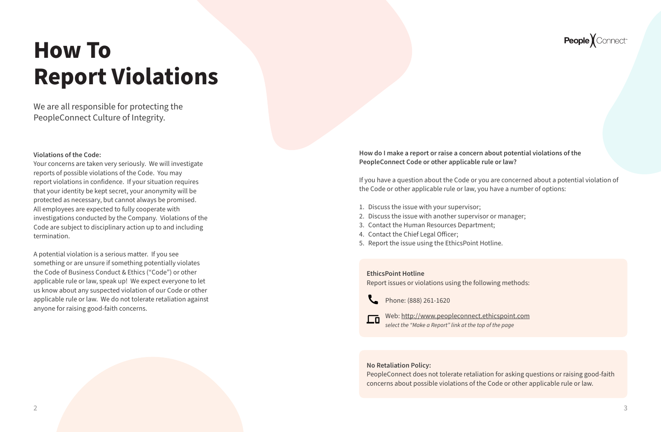### <span id="page-2-0"></span>**How To Report Violations**

We are all responsible for protecting the PeopleConnect Culture of Integrity.

> **How do I make a report or raise a concern about potential violations of the PeopleConnect Code or other applicable rule or law?**

If you have a question about the Code or you are concerned about a potential violation of the Code or other applicable rule or law, you have a number of options:

- 1. Discuss the issue with your supervisor;
- 2. Discuss the issue with another supervisor or manager;
- 3. Contact the Human Resources Department;
- 4. Contact the Chief Legal Officer;
- 5. Report the issue using the EthicsPoint Hotline.

#### **No Retaliation Policy:**

PeopleConnect does not tolerate retaliation for asking questions or raising good-faith concerns about possible violations of the Code or other applicable rule or law.

### People *Connect*

#### **EthicsPoint Hotline**

Report issues or violations using the following methods:



Phone: (888) 261-1620



#### **Violations of the Code:**

Your concerns are taken very seriously. We will investigate reports of possible violations of the Code. You may report violations in confidence. If your situation requires that your identity be kept secret, your anonymity will be protected as necessary, but cannot always be promised. All employees are expected to fully cooperate with investigations conducted by the Company. Violations of the Code are subject to disciplinary action up to and including termination.

A potential violation is a serious matter. If you see something or are unsure if something potentially violates the Code of Business Conduct & Ethics ("Code") or other applicable rule or law, speak up! We expect everyone to let us know about any suspected violation of our Code or other applicable rule or law. We do not tolerate retaliation against anyone for raising good-faith concerns.

Web:<http://www.peopleconnect.ethicspoint.com> *select the "Make a Report" link at the top of the page*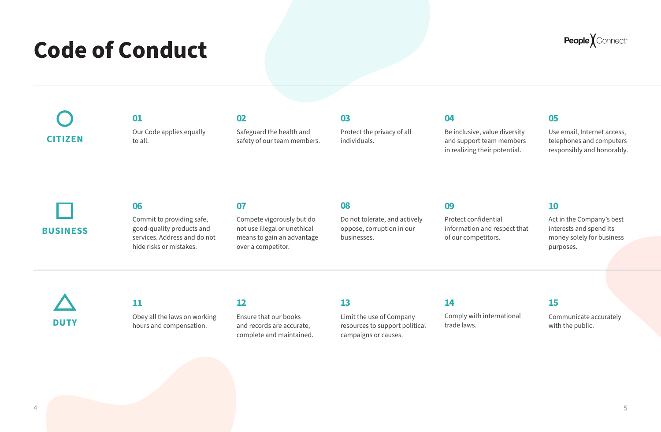#### **08**

Do not tolerate, and actively oppose, corruption in our businesses.

### **Code of Conduct**

**06**

Commit to providing safe, good-quality products and services. Address and do not hide risks or mistakes.

#### **07**

Compete vigorously but do not use illegal or unethical means to gain an advantage over a competitor.

Protect confidential information and respect that of our competitors.

#### **09**

#### **11**

Obey all the laws on working hours and compensation.

Act in the Company's best interests and spend its money solely for business purposes.

#### **10**

Our Code applies equally to all. **01**

Safeguard the health and

safety of our team members.

**02**

Protect the privacy of all individuals.

Be inclusive, value diversity and support team members in realizing their potential.

**04 03 05**

Use email, Internet access, telephones and computers responsibly and honorably.

#### **12**

Ensure that our books and records are accurate, complete and maintained.

#### **14**

Comply with international

trade laws.

 $\frac{4}{5}$ 

### People Connect<sup>®</sup>

#### **13**

Limit the use of Company resources to support political campaigns or causes.

#### **15**

Communicate accurately with the public.

**BUSINESS**

**DUTY**

**CITIZEN**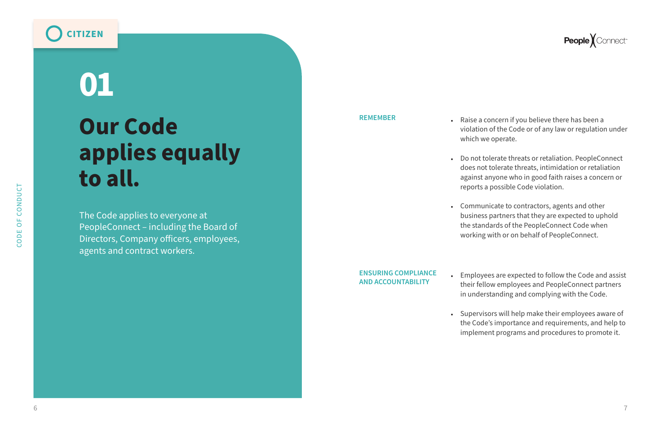# **Our Code applies equally to all. 01**

The Code applies to everyone at PeopleConnect – including the Board of Directors, Company officers, employees, agents and contract workers.

**REMEMBER**

- 
- 
- 

**ENSURING COMPLIANCE AND ACCOUNTABILITY**

- 
- 

• Raise a concern if you believe there has been a violation of the Code or of any law or regulation under which we operate.

• Do not tolerate threats or retaliation. PeopleConnect does not tolerate threats, intimidation or retaliation against anyone who in good faith raises a concern or reports a possible Code violation.

• Communicate to contractors, agents and other business partners that they are expected to uphold the standards of the PeopleConnect Code when working with or on behalf of PeopleConnect.

• Employees are expected to follow the Code and assist their fellow employees and PeopleConnect partners in understanding and complying with the Code.

• Supervisors will help make their employees aware of the Code's importance and requirements, and help to implement programs and procedures to promote it.

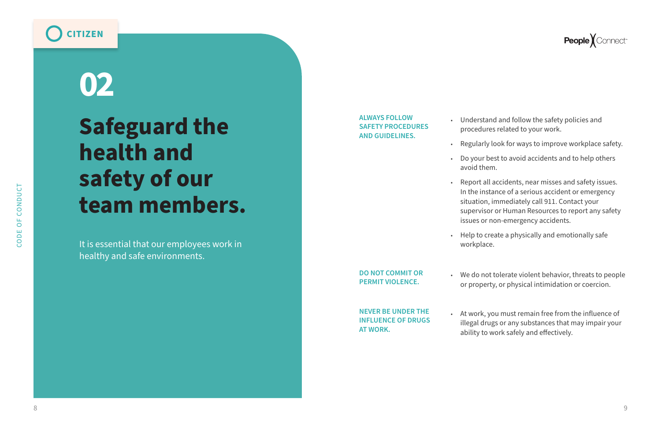### **Safeguard the health and safety of our team members.**

# **02**

It is essential that our employees work in healthy and safe environments.

**ALWAYS FOLLOW SAFETY PROCEDURES AND GUIDELINES.** 

**DO NOT COMMIT OR PERMIT VIOLENCE.** 

- 
- **NEVER BE UNDER THE INFLUENCE OF DRUGS**

### **People** *Connect*<sup>®</sup>

**AT WORK.** 

• Understand and follow the safety policies and procedures related to your work.

• Regularly look for ways to improve workplace safety.

• Do your best to avoid accidents and to help others avoid them.

• Report all accidents, near misses and safety issues. In the instance of a serious accident or emergency situation, immediately call 911. Contact your supervisor or Human Resources to report any safety issues or non-emergency accidents.

• Help to create a physically and emotionally safe

- 
- 
- 
- 
- workplace.

• We do not tolerate violent behavior, threats to people or property, or physical intimidation or coercion.

• At work, you must remain free from the influence of illegal drugs or any substances that may impair your ability to work safely and effectively.

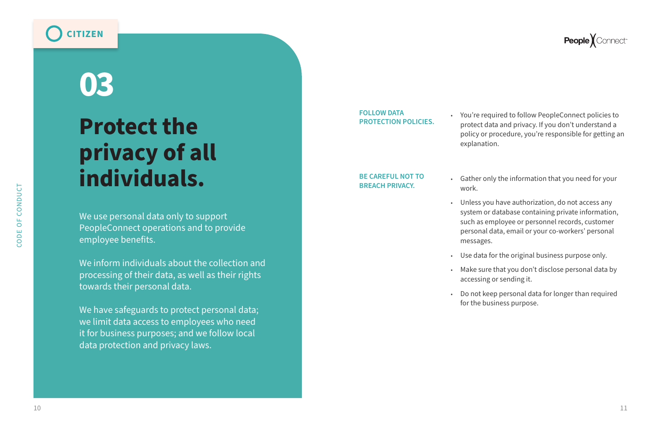People *Connect* 

### **Protect the privacy of all individuals.**

# **03**

We use personal data only to support PeopleConnect operations and to provide employee benefits.

We inform individuals about the collection and processing of their data, as well as their rights towards their personal data.

We have safeguards to protect personal data; we limit data access to employees who need it for business purposes; and we follow local data protection and privacy laws.

**FOLLOW DATA PROTECTION POLICIES.** 

**BE CAREFUL NOT TO BREACH PRIVACY.** 

• You're required to follow PeopleConnect policies to protect data and privacy. If you don't understand a policy or procedure, you're responsible for getting an explanation.

• Gather only the information that you need for your

• Unless you have authorization, do not access any system or database containing private information, such as employee or personnel records, customer personal data, email or your co-workers' personal

- work.
- messages.
- 
- 
- 

• Use data for the original business purpose only.

• Make sure that you don't disclose personal data by accessing or sending it.

• Do not keep personal data for longer than required for the business purpose.

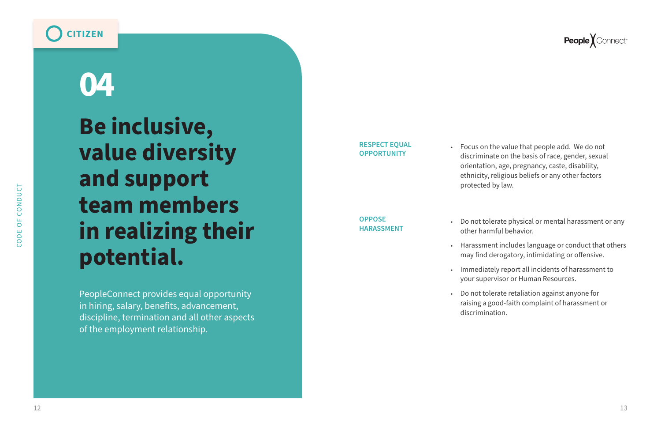CODE OF CONDUCT

 $OF$ 

CODE<sup></sup>

CONDUCT

**RESPECT EQUAL OPPORTUNITY**

**OPPOSE HARASSMENT** 

- 
- 
- 
- 

• Focus on the value that people add. We do not discriminate on the basis of race, gender, sexual orientation, age, pregnancy, caste, disability, ethnicity, religious beliefs or any other factors protected by law.

• Do not tolerate physical or mental harassment or any other harmful behavior.

• Harassment includes language or conduct that others may find derogatory, intimidating or offensive.

• Immediately report all incidents of harassment to your supervisor or Human Resources.

• Do not tolerate retaliation against anyone for raising a good-faith complaint of harassment or discrimination.

## **Be inclusive, value diversity and support team members in realizing their potential. 04**

PeopleConnect provides equal opportunity in hiring, salary, benefits, advancement, discipline, termination and all other aspects of the employment relationship.

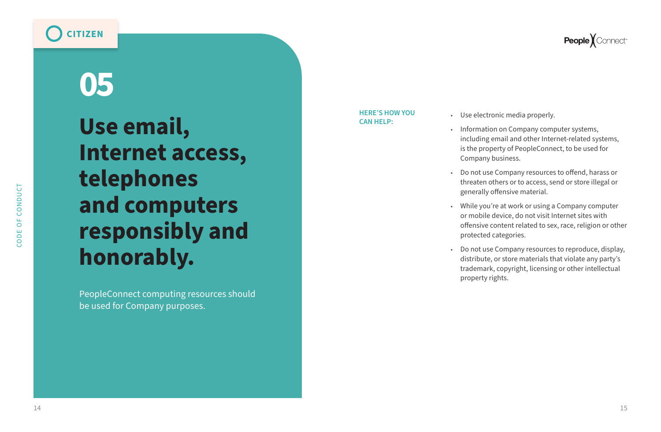CODE OF CONDUCT

 $OF$ 

CODE<sup></sup>

CONDUCT

### **People** *Connect*<sup>®</sup>

**Use email, Internet access, telephones and computers responsibly and honorably.**

# **05**

PeopleConnect computing resources should be used for Company purposes.

**HERE'S HOW YOU CAN HELP:**

- 
- 
- 
- 
- 

• Use electronic media properly. • Information on Company computer systems, including email and other Internet-related systems, is the property of PeopleConnect, to be used for Company business.

• Do not use Company resources to offend, harass or threaten others or to access, send or store illegal or generally offensive material.

• While you're at work or using a Company computer or mobile device, do not visit Internet sites with offensive content related to sex, race, religion or other protected categories.

• Do not use Company resources to reproduce, display, distribute, or store materials that violate any party's trademark, copyright, licensing or other intellectual property rights.

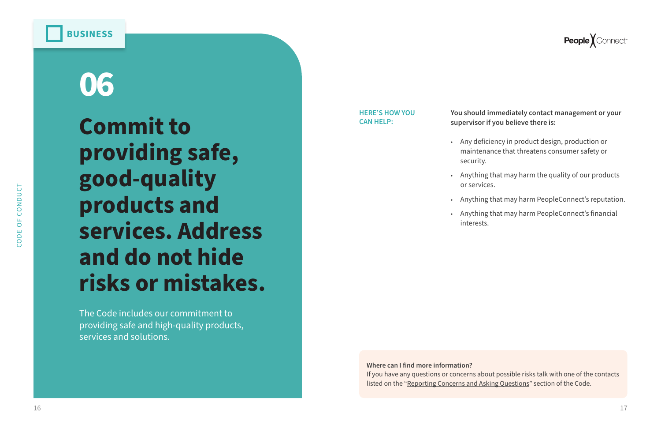**People** *Connect*<sup>®</sup>

### **Commit to providing safe, good-quality products and services. Address and do not hide risks or mistakes. 06**

The Code includes our commitment to providing safe and high-quality products, services and solutions.

#### **You should immediately contact management or your supervisor if you believe there is:**

**Where can I find more information?** If you have any questions or concerns about possible risks talk with one of the contacts listed on the ["Reporting Concerns and Asking Questions](#page-2-0)" section of the Code.

• Any deficiency in product design, production or maintenance that threatens consumer safety or

• Anything that may harm the quality of our products

- security.
- or services.
- - interests.

• Anything that may harm PeopleConnect's reputation.

• Anything that may harm PeopleConnect's financial

#### **HERE'S HOW YOU CAN HELP:**

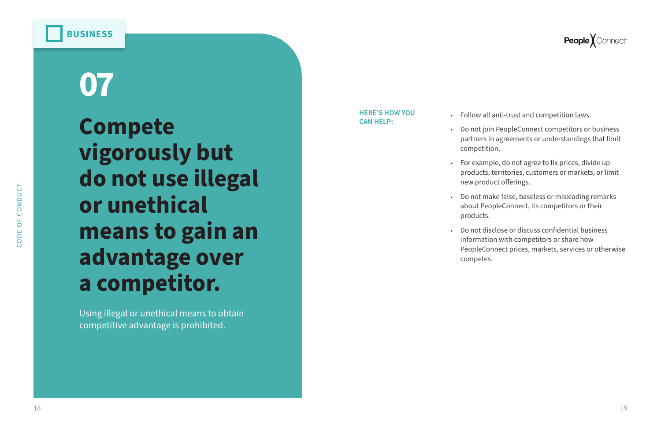CONDUCT

### **Compete vigorously but do not use illegal or unethical means to gain an advantage over a competitor. 07**

Using illegal or unethical means to obtain competitive advantage is prohibited.

• Follow all anti-trust and competition laws.

• Do not join PeopleConnect competitors or business partners in agreements or understandings that limit competition.

• For example, do not agree to fix prices, divide up products, territories, customers or markets, or limit new product offerings.

• Do not make false, baseless or misleading remarks about PeopleConnect, its competitors or their

- 
- 
- 
- products.
- competes.

• Do not disclose or discuss confidential business information with competitors or share how PeopleConnect prices, markets, services or otherwise

#### **HERE'S HOW YOU CAN HELP:**

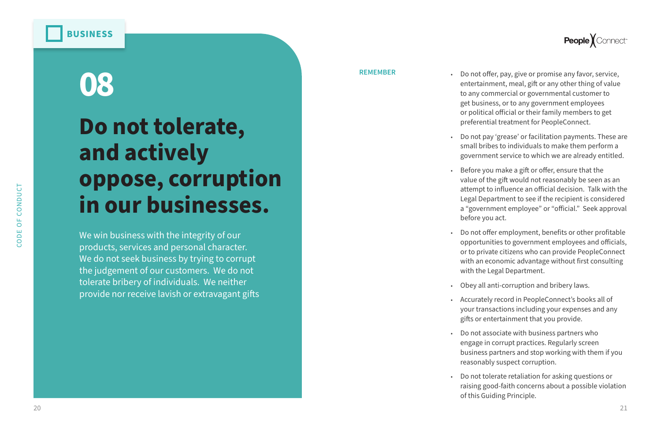### **Do not tolerate, and actively oppose, corruption in our businesses.**

# **08**

We win business with the integrity of our products, services and personal character. We do not seek business by trying to corrupt the judgement of our customers. We do not tolerate bribery of individuals. We neither provide nor receive lavish or extravagant gifts

#### **REMEMBER**

- 
- 
- 
- 
- 
- 
- 
- 



• Do not offer, pay, give or promise any favor, service, entertainment, meal, gift or any other thing of value to any commercial or governmental customer to get business, or to any government employees or political official or their family members to get preferential treatment for PeopleConnect.

• Do not pay 'grease' or facilitation payments. These are small bribes to individuals to make them perform a government service to which we are already entitled.

• Before you make a gift or offer, ensure that the value of the gift would not reasonably be seen as an attempt to influence an official decision. Talk with the Legal Department to see if the recipient is considered a "government employee" or "official." Seek approval before you act.

• Do not offer employment, benefits or other profitable opportunities to government employees and officials, or to private citizens who can provide PeopleConnect with an economic advantage without first consulting with the Legal Department.

• Obey all anti-corruption and bribery laws.

• Accurately record in PeopleConnect's books all of your transactions including your expenses and any gifts or entertainment that you provide.

• Do not associate with business partners who engage in corrupt practices. Regularly screen business partners and stop working with them if you reasonably suspect corruption.

• Do not tolerate retaliation for asking questions or raising good-faith concerns about a possible violation of this Guiding Principle.

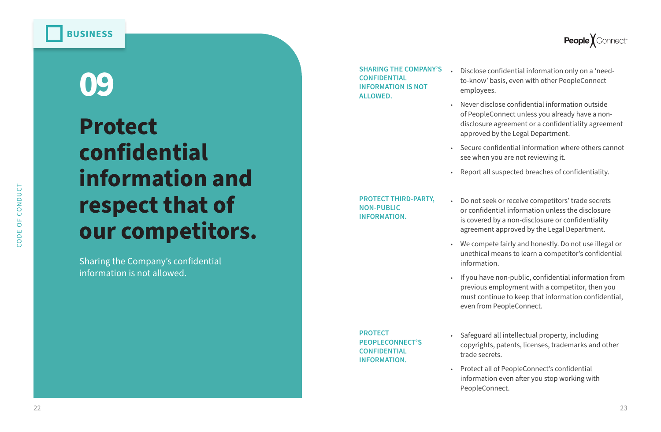### **Protect confidential information and respect that of our competitors.**

# **09**

Sharing the Company's confidential information is not allowed.

**SHARING THE COMPANY'S CONFIDENTIAL INFORMATION IS NOT ALLOWED.** 

- 
- 
- 
- 

• Disclose confidential information only on a 'needto-know' basis, even with other PeopleConnect employees.

• Never disclose confidential information outside of PeopleConnect unless you already have a nondisclosure agreement or a confidentiality agreement approved by the Legal Department.

• Secure confidential information where others cannot see when you are not reviewing it.

• Report all suspected breaches of confidentiality.

**PROTECT THIRD-PARTY, NON-PUBLIC INFORMATION.** 

- 
- 
- 

• Do not seek or receive competitors' trade secrets or confidential information unless the disclosure is covered by a non-disclosure or confidentiality agreement approved by the Legal Department.

• We compete fairly and honestly. Do not use illegal or unethical means to learn a competitor's confidential information.

• If you have non-public, confidential information from previous employment with a competitor, then you must continue to keep that information confidential, even from PeopleConnect.

**PROTECT PEOPLECONNECT'S CONFIDENTIAL INFORMATION.** 

- 
- 



• Safeguard all intellectual property, including copyrights, patents, licenses, trademarks and other trade secrets.

• Protect all of PeopleConnect's confidential information even after you stop working with PeopleConnect.

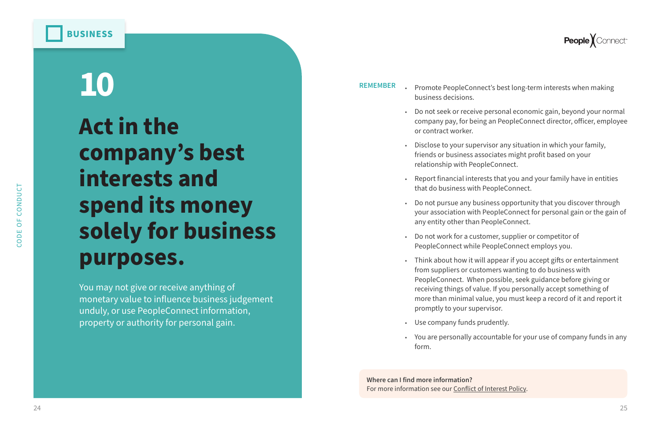

## **Act in the company's best interests and spend its money solely for business purposes. 10**

You may not give or receive anything of monetary value to influence business judgement unduly, or use PeopleConnect information, property or authority for personal gain.

**REMEMBER** • Promote PeopleConnect's best long-term interests when making

• Do not seek or receive personal economic gain, beyond your normal company pay, for being an PeopleConnect director, officer, employee

• Disclose to your supervisor any situation in which your family, friends or business associates might profit based on your

• Report financial interests that you and your family have in entities

• Do not pursue any business opportunity that you discover through your association with PeopleConnect for personal gain or the gain of

- business decisions.
- or contract worker.
- relationship with PeopleConnect.
- that do business with PeopleConnect.
- any entity other than PeopleConnect.
- 
- promptly to your supervisor.
- Use company funds prudently.
- form.

• Do not work for a customer, supplier or competitor of PeopleConnect while PeopleConnect employs you.

• Think about how it will appear if you accept gifts or entertainment from suppliers or customers wanting to do business with PeopleConnect. When possible, seek guidance before giving or receiving things of value. If you personally accept something of more than minimal value, you must keep a record of it and report it

• You are personally accountable for your use of company funds in any



**Where can I find more information?** For more information see our [Conflict of Interest Policy.](https://drive.google.com/file/d/1C_EqqcrB4qRFtwIA2hUFFI_WAO9vDvD2/view?usp=sharing)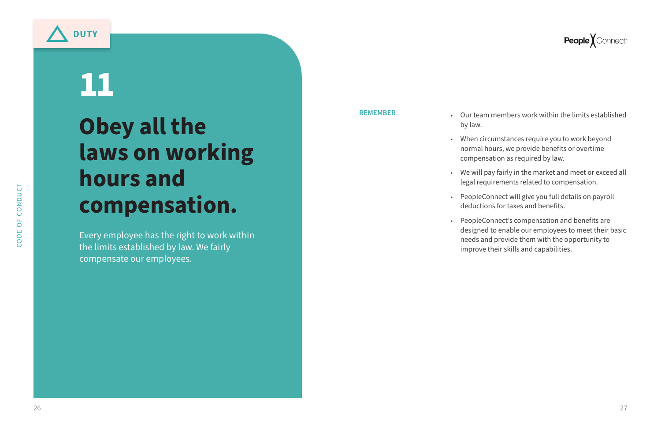### **Obey all the laws on working hours and compensation.**

# **11**

Every employee has the right to work within the limits established by law. We fairly compensate our employees.

**REMEMBER**

• Our team members work within the limits established

- by law.
- 
- 
- 
- 

• When circumstances require you to work beyond normal hours, we provide benefits or overtime compensation as required by law.

• We will pay fairly in the market and meet or exceed all legal requirements related to compensation.

• PeopleConnect will give you full details on payroll deductions for taxes and benefits.

• PeopleConnect's compensation and benefits are designed to enable our employees to meet their basic needs and provide them with the opportunity to improve their skills and capabilities.

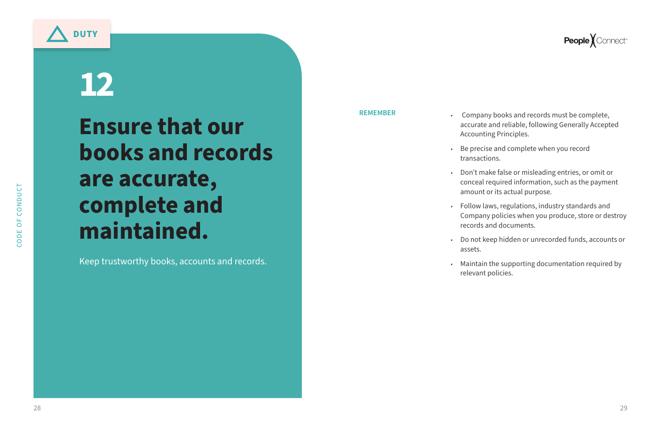**REMEMBER** • Company books and records must be complete, accurate and reliable, following Generally Accepted Accounting Principles.

> • Be precise and complete when you record transactions.

• Don't make false or misleading entries, or omit or conceal required information, such as the payment amount or its actual purpose.

• Follow laws, regulations, industry standards and Company policies when you produce, store or destroy records and documents.

• Do not keep hidden or unrecorded funds, accounts or

- 
- 
- 
- 
- assets.
- 

### **People** *Connect*<sup>®</sup>

• Maintain the supporting documentation required by relevant policies.

**Ensure that our books and records are accurate, complete and maintained.**

# **12**

Keep trustworthy books, accounts and records.

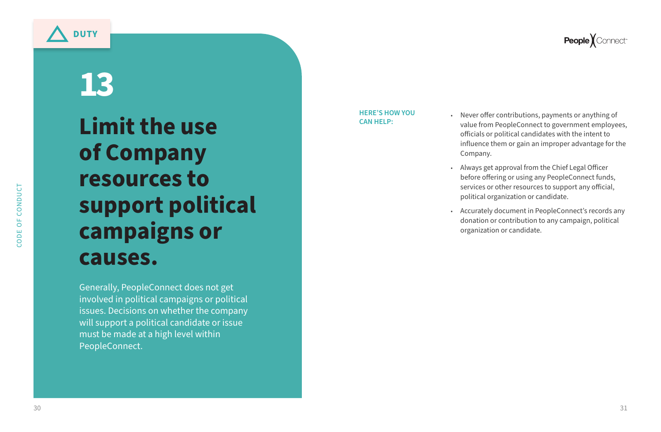### **Limit the use of Company resources to support political campaigns or causes.**

# **13**

Generally, PeopleConnect does not get involved in political campaigns or political issues. Decisions on whether the company will support a political candidate or issue must be made at a high level within PeopleConnect.

• Never offer contributions, payments or anything of value from PeopleConnect to government employees, officials or political candidates with the intent to influence them or gain an improper advantage for the

- Company.
- 
- 

• Always get approval from the Chief Legal Officer before offering or using any PeopleConnect funds, services or other resources to support any official, political organization or candidate.

• Accurately document in PeopleConnect's records any donation or contribution to any campaign, political organization or candidate.

#### **HERE'S HOW YOU CAN HELP:**

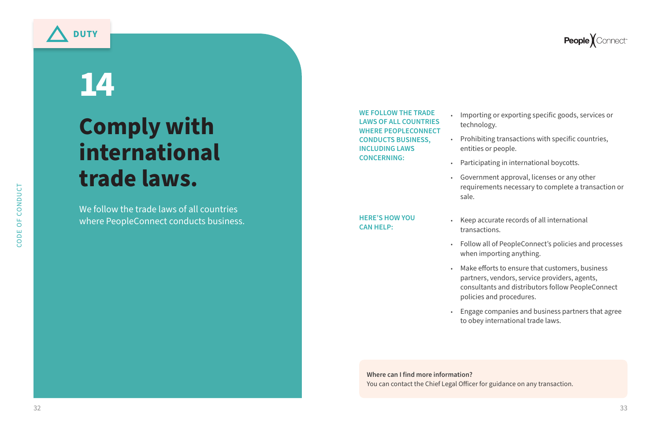### **Comply with international trade laws.**

# **14**

We follow the trade laws of all countries where PeopleConnect conducts business. • Importing or exporting specific goods, services or technology.

• Prohibiting transactions with specific countries, entities or people.

• Participating in international boycotts.

• Government approval, licenses or any other requirements necessary to complete a transaction or

- 
- 
- - sale.

• Keep accurate records of all international transactions.

• Follow all of PeopleConnect's policies and processes when importing anything.

• Make efforts to ensure that customers, business partners, vendors, service providers, agents, consultants and distributors follow PeopleConnect policies and procedures.

• Engage companies and business partners that agree to obey international trade laws.

**WE FOLLOW THE TRADE LAWS OF ALL COUNTRIES WHERE PEOPLECONNECT CONDUCTS BUSINESS, INCLUDING LAWS CONCERNING:**

**HERE'S HOW YOU CAN HELP:** 

- -
	-
	-

**Where can I find more information?** You can contact the Chief Legal Officer for guidance on any transaction.

### **People** *Connect*<sup>®</sup>

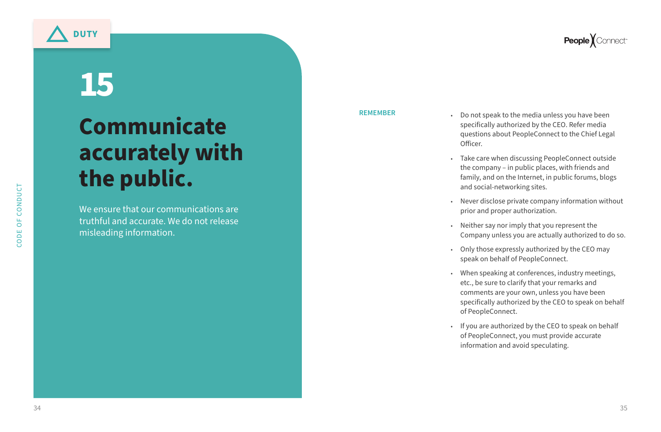### **Communicate accurately with the public.**

# **15**

We ensure that our communications are truthful and accurate. We do not release misleading information.

• Do not speak to the media unless you have been specifically authorized by the CEO. Refer media questions about PeopleConnect to the Chief Legal

- Officer.
- 
- 
- 
- 
- 
- 

### **People** *Connect*<sup>®</sup>

• Take care when discussing PeopleConnect outside the company – in public places, with friends and family, and on the Internet, in public forums, blogs and social-networking sites.

• Never disclose private company information without prior and proper authorization.

• Neither say nor imply that you represent the Company unless you are actually authorized to do so.

• Only those expressly authorized by the CEO may speak on behalf of PeopleConnect.

• When speaking at conferences, industry meetings, etc., be sure to clarify that your remarks and comments are your own, unless you have been specifically authorized by the CEO to speak on behalf of PeopleConnect.

• If you are authorized by the CEO to speak on behalf of PeopleConnect, you must provide accurate information and avoid speculating.

**REMEMBER**

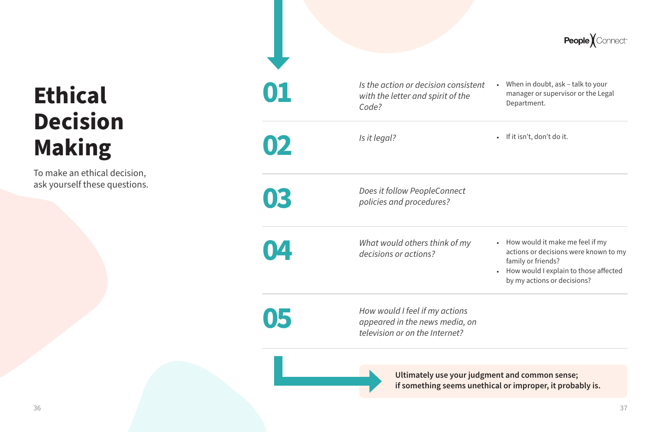

### **Ethical Decision Making**

To make an ethical decision, ask yourself these questions.



### **if something seems unethical or improper, it probably is.**

- When in doubt, ask talk to your
	-

|           |                                                                                    | <b>People X</b> Conne                                                                                                                                                                       |
|-----------|------------------------------------------------------------------------------------|---------------------------------------------------------------------------------------------------------------------------------------------------------------------------------------------|
| 01        | Is the action or decision consistent<br>with the letter and spirit of the<br>Code? | When in doubt, ask – talk to your<br>$\bullet$<br>manager or supervisor or the Legal<br>Department.                                                                                         |
| <b>U2</b> | Is it legal?                                                                       | If it isn't, don't do it.<br>$\bullet$                                                                                                                                                      |
| 03        | Does it follow PeopleConnect<br>policies and procedures?                           |                                                                                                                                                                                             |
|           | What would others think of my<br>decisions or actions?                             | How would it make me feel if my<br>$\bullet$<br>actions or decisions were known to<br>family or friends?<br>How would I explain to those affect<br>$\bullet$<br>by my actions or decisions? |
|           |                                                                                    |                                                                                                                                                                                             |

- How would it make me feel if my actions or decisions were known to my family or friends?
- How would I explain to those affected by my actions or decisions?

*How would I feel if my actions*  **a** *appeared in the news media, on* **a** *appeared in the news media, on television or on the Internet?*